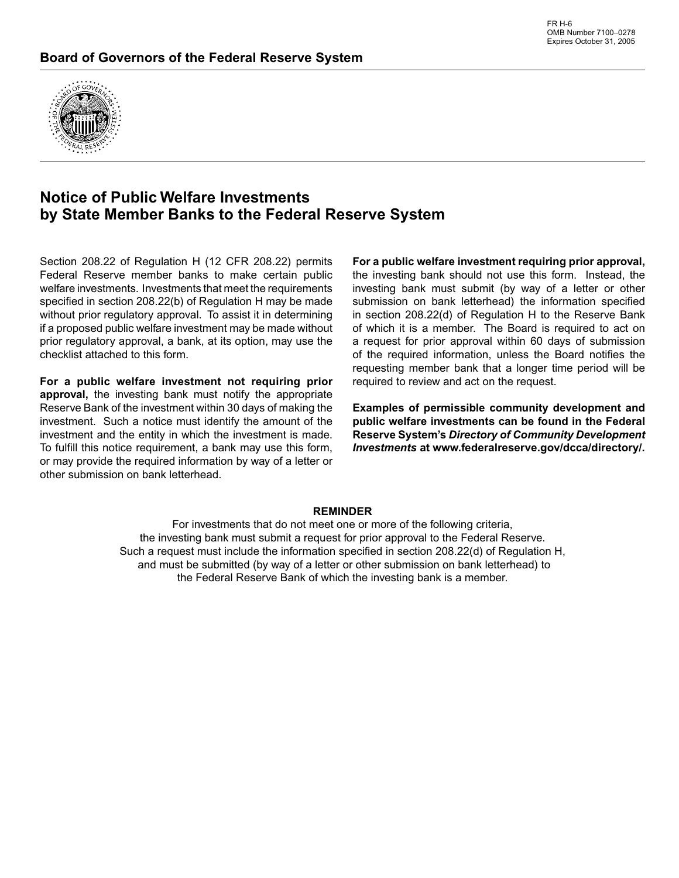

# **Notice of Public Welfare Investments by State Member Banks to the Federal Reserve System**

Section 208.22 of Regulation H (12 CFR 208.22) permits Federal Reserve member banks to make certain public welfare investments. Investments that meet the requirements specified in section 208.22(b) of Regulation H may be made without prior regulatory approval. To assist it in determining if a proposed public welfare investment may be made without prior regulatory approval, a bank, at its option, may use the checklist attached to this form.

**For a public welfare investment not requiring prior approval,** the investing bank must notify the appropriate Reserve Bank of the investment within 30 days of making the investment. Such a notice must identify the amount of the investment and the entity in which the investment is made. To fulfill this notice requirement, a bank may use this form, or may provide the required information by way of a letter or other submission on bank letterhead.

**For a public welfare investment requiring prior approval,**  the investing bank should not use this form. Instead, the investing bank must submit (by way of a letter or other submission on bank letterhead) the information specified in section 208.22(d) of Regulation H to the Reserve Bank of which it is a member. The Board is required to act on a request for prior approval within 60 days of submission of the required information, unless the Board notifies the requesting member bank that a longer time period will be required to review and act on the request.

**Examples of permissible community development and public welfare investments can be found in the Federal Reserve System's** *Directory of Community Development Investments* **at www.federalreserve.gov/dcca/directory/.**

### **REMINDER**

For investments that do not meet one or more of the following criteria, the investing bank must submit a request for prior approval to the Federal Reserve. Such a request must include the information specified in section 208.22(d) of Regulation H, and must be submitted (by way of a letter or other submission on bank letterhead) to the Federal Reserve Bank of which the investing bank is a member.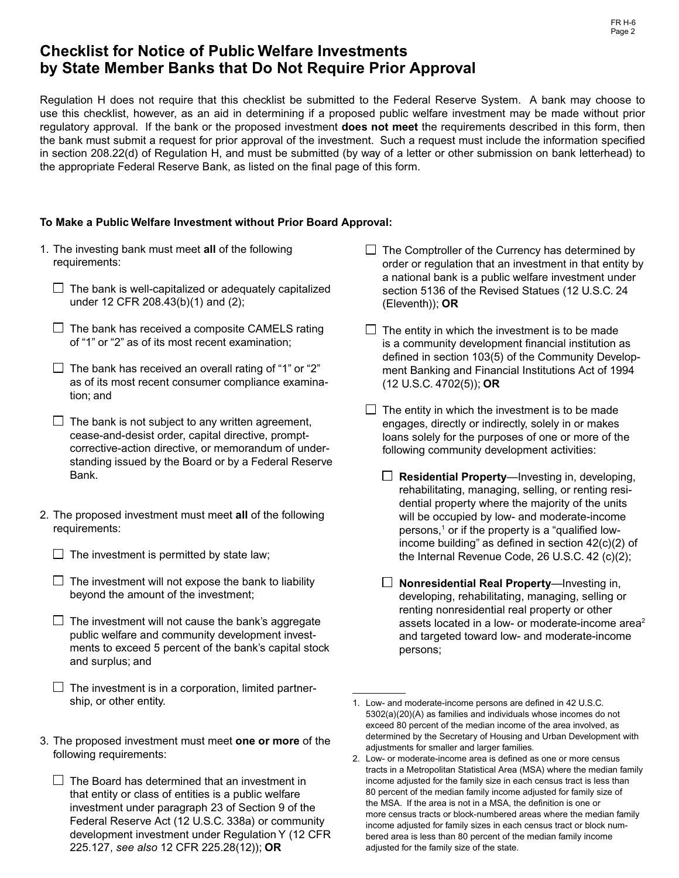# **Checklist for Notice of Public Welfare Investments by State Member Banks that Do Not Require Prior Approval**

Regulation H does not require that this checklist be submitted to the Federal Reserve System. A bank may choose to use this checklist, however, as an aid in determining if a proposed public welfare investment may be made without prior regulatory approval. If the bank or the proposed investment **does not meet** the requirements described in this form, then the bank must submit a request for prior approval of the investment. Such a request must include the information specified in section 208.22(d) of Regulation H, and must be submitted (by way of a letter or other submission on bank letterhead) to the appropriate Federal Reserve Bank, as listed on the final page of this form.

### **To Make a Public Welfare Investment without Prior Board Approval:**

- 1. The investing bank must meet **all** of the following requirements:
	- $\Box$  The bank is well-capitalized or adequately capitalized under 12 CFR 208.43(b)(1) and (2);
	- $\Box$  The bank has received a composite CAMELS rating of "1" or "2" as of its most recent examination;
	- $\Box$  The bank has received an overall rating of "1" or "2" as of its most recent consumer compliance examination; and
	- $\Box$  The bank is not subject to any written agreement, cease-and-desist order, capital directive, promptcorrective-action directive, or memorandum of understanding issued by the Board or by a Federal Reserve Bank.
- 2. The proposed investment must meet **all** of the following requirements:
	- $\Box$  The investment is permitted by state law;
	- $\Box$  The investment will not expose the bank to liability beyond the amount of the investment;
	- $\Box$  The investment will not cause the bank's aggregate public welfare and community development investments to exceed 5 percent of the bank's capital stock and surplus; and
	- $\Box$  The investment is in a corporation, limited partnership, or other entity.
- 3. The proposed investment must meet **one or more** of the following requirements:
	- $\Box$  The Board has determined that an investment in that entity or class of entities is a public welfare investment under paragraph 23 of Section 9 of the Federal Reserve Act (12 U.S.C. 338a) or community development investment under Regulation Y (12 CFR 225.127, *see also* 12 CFR 225.28(12)); **OR**
- $\Box$  The Comptroller of the Currency has determined by order or regulation that an investment in that entity by a national bank is a public welfare investment under section 5136 of the Revised Statues (12 U.S.C. 24 (Eleventh)); **OR**
- $\Box$  The entity in which the investment is to be made is a community development financial institution as defined in section 103(5) of the Community Development Banking and Financial Institutions Act of 1994 (12 U.S.C. 4702(5)); **OR**
- $\Box$  The entity in which the investment is to be made engages, directly or indirectly, solely in or makes loans solely for the purposes of one or more of the following community development activities:
	- **Residential Property**—Investing in, developing, rehabilitating, managing, selling, or renting residential property where the majority of the units will be occupied by low- and moderate-income persons,<sup>1</sup> or if the property is a "qualified lowincome building" as defined in section  $42(c)(2)$  of the Internal Revenue Code, 26 U.S.C. 42 (c)(2);
	- **Nonresidential Real Property**—Investing in, developing, rehabilitating, managing, selling or renting nonresidential real property or other assets located in a low- or moderate-income area<sup>2</sup> and targeted toward low- and moderate-income persons;

<sup>1.</sup> Low- and moderate-income persons are defined in 42 U.S.C. 5302(a)(20)(A) as families and individuals whose incomes do not exceed 80 percent of the median income of the area involved, as determined by the Secretary of Housing and Urban Development with adjustments for smaller and larger families.

<sup>2.</sup> Low- or moderate-income area is defined as one or more census tracts in a Metropolitan Statistical Area (MSA) where the median family income adjusted for the family size in each census tract is less than 80 percent of the median family income adjusted for family size of the MSA. If the area is not in a MSA, the definition is one or more census tracts or block-numbered areas where the median family income adjusted for family sizes in each census tract or block numbered area is less than 80 percent of the median family income adjusted for the family size of the state.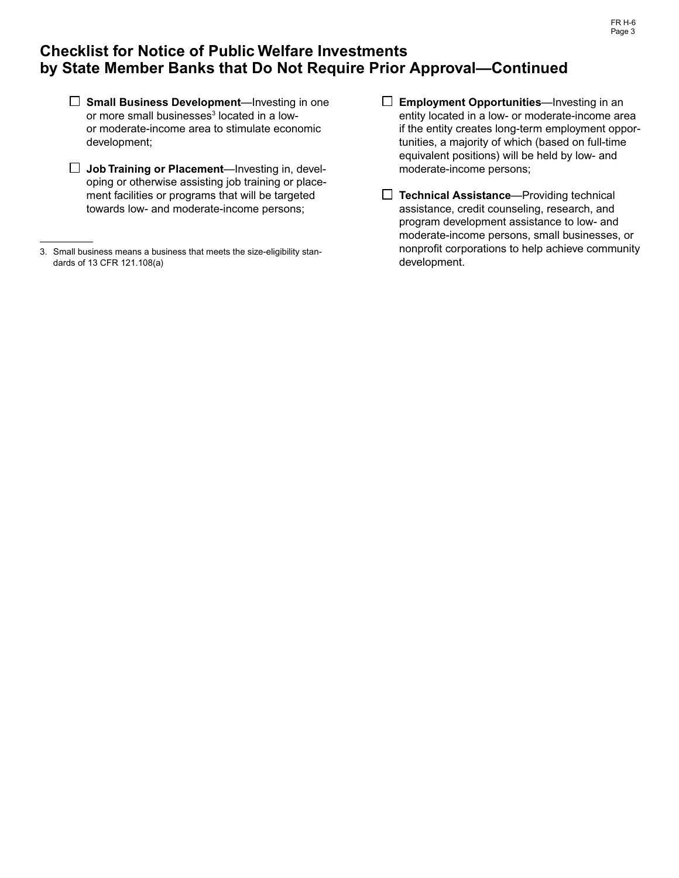# **Checklist for Notice of Public Welfare Investments by State Member Banks that Do Not Require Prior Approval—Continued**

- **Small Business Development**—Investing in one or more small businesses<sup>3</sup> located in a lowor moderate-income area to stimulate economic development;
- **Job Training or Placement**—Investing in, developing or otherwise assisting job training or placement facilities or programs that will be targeted towards low- and moderate-income persons;
- **Employment Opportunities** —Investing in an entity located in a low- or moderate-income area if the entity creates long-term employment opportunities, a majority of which (based on full-time equivalent positions) will be held by low- and moderate-income persons;
- **Technical Assistance**—Providing technical assistance, credit counseling, research, and program development assistance to low- and moderate-income persons, small businesses, or nonprofit corporations to help achieve community development.

<sup>3.</sup> Small business means a business that meets the size-eligibility standards of 13 CFR 121.108(a)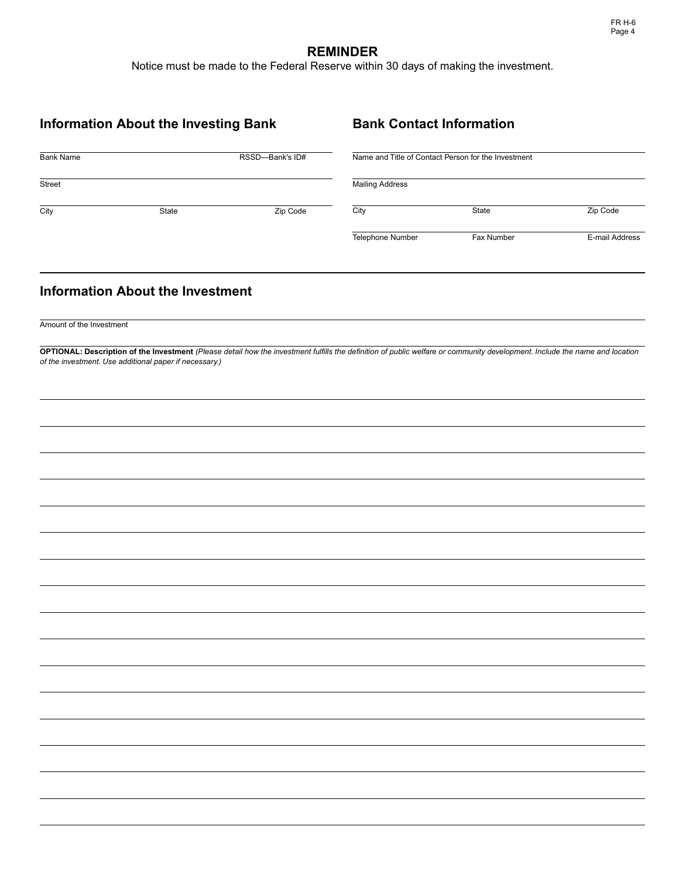# **REMINDER**

Notice must be made to the Federal Reserve within 30 days of making the investment.

| <b>Information About the Investing Bank</b> |                                                        |          |                                                                                                                                                                             | <b>Bank Contact Information</b> |                |  |
|---------------------------------------------|--------------------------------------------------------|----------|-----------------------------------------------------------------------------------------------------------------------------------------------------------------------------|---------------------------------|----------------|--|
| RSSD-Bank's ID#<br><b>Bank Name</b>         |                                                        |          | Name and Title of Contact Person for the Investment                                                                                                                         |                                 |                |  |
| Street                                      |                                                        |          | <b>Mailing Address</b>                                                                                                                                                      |                                 |                |  |
| City                                        | State                                                  | Zip Code | City                                                                                                                                                                        | State                           | Zip Code       |  |
|                                             |                                                        |          | Telephone Number                                                                                                                                                            | Fax Number                      | E-mail Address |  |
|                                             | <b>Information About the Investment</b>                |          |                                                                                                                                                                             |                                 |                |  |
| Amount of the Investment                    |                                                        |          |                                                                                                                                                                             |                                 |                |  |
|                                             |                                                        |          | OPTIONAL: Description of the Investment (Please detail how the investment fulfills the definition of public welfare or community development. Include the name and location |                                 |                |  |
|                                             | of the investment. Use additional paper if necessary.) |          |                                                                                                                                                                             |                                 |                |  |
|                                             |                                                        |          |                                                                                                                                                                             |                                 |                |  |
|                                             |                                                        |          |                                                                                                                                                                             |                                 |                |  |
|                                             |                                                        |          |                                                                                                                                                                             |                                 |                |  |
|                                             |                                                        |          |                                                                                                                                                                             |                                 |                |  |
|                                             |                                                        |          |                                                                                                                                                                             |                                 |                |  |
|                                             |                                                        |          |                                                                                                                                                                             |                                 |                |  |
|                                             |                                                        |          |                                                                                                                                                                             |                                 |                |  |
|                                             |                                                        |          |                                                                                                                                                                             |                                 |                |  |
|                                             |                                                        |          |                                                                                                                                                                             |                                 |                |  |
|                                             |                                                        |          |                                                                                                                                                                             |                                 |                |  |
|                                             |                                                        |          |                                                                                                                                                                             |                                 |                |  |
|                                             |                                                        |          |                                                                                                                                                                             |                                 |                |  |
|                                             |                                                        |          |                                                                                                                                                                             |                                 |                |  |